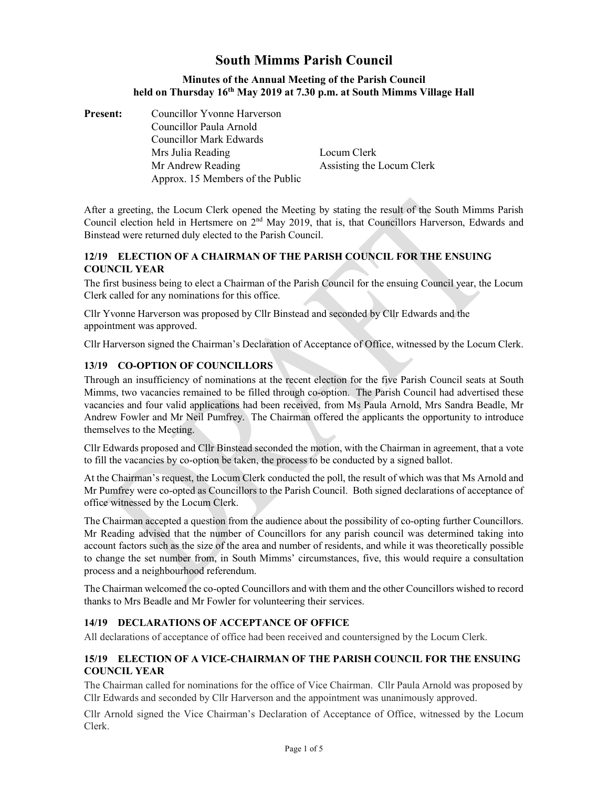# South Mimms Parish Council

#### Minutes of the Annual Meeting of the Parish Council held on Thursday 16<sup>th</sup> May 2019 at 7.30 p.m. at South Mimms Village Hall

Present: Councillor Yvonne Harverson Councillor Paula Arnold

 Councillor Mark Edwards Mrs Julia Reading **Locum Clerk** Mr Andrew Reading Assisting the Locum Clerk Approx. 15 Members of the Public

After a greeting, the Locum Clerk opened the Meeting by stating the result of the South Mimms Parish Council election held in Hertsmere on 2<sup>nd</sup> May 2019, that is, that Councillors Harverson, Edwards and Binstead were returned duly elected to the Parish Council.

# 12/19 ELECTION OF A CHAIRMAN OF THE PARISH COUNCIL FOR THE ENSUING COUNCIL YEAR

The first business being to elect a Chairman of the Parish Council for the ensuing Council year, the Locum Clerk called for any nominations for this office.

Cllr Yvonne Harverson was proposed by Cllr Binstead and seconded by Cllr Edwards and the appointment was approved.

Cllr Harverson signed the Chairman's Declaration of Acceptance of Office, witnessed by the Locum Clerk.

#### 13/19 CO-OPTION OF COUNCILLORS

Through an insufficiency of nominations at the recent election for the five Parish Council seats at South Mimms, two vacancies remained to be filled through co-option. The Parish Council had advertised these vacancies and four valid applications had been received, from Ms Paula Arnold, Mrs Sandra Beadle, Mr Andrew Fowler and Mr Neil Pumfrey. The Chairman offered the applicants the opportunity to introduce themselves to the Meeting.

Cllr Edwards proposed and Cllr Binstead seconded the motion, with the Chairman in agreement, that a vote to fill the vacancies by co-option be taken, the process to be conducted by a signed ballot.

At the Chairman's request, the Locum Clerk conducted the poll, the result of which was that Ms Arnold and Mr Pumfrey were co-opted as Councillors to the Parish Council. Both signed declarations of acceptance of office witnessed by the Locum Clerk.

The Chairman accepted a question from the audience about the possibility of co-opting further Councillors. Mr Reading advised that the number of Councillors for any parish council was determined taking into account factors such as the size of the area and number of residents, and while it was theoretically possible to change the set number from, in South Mimms' circumstances, five, this would require a consultation process and a neighbourhood referendum.

The Chairman welcomed the co-opted Councillors and with them and the other Councillors wished to record thanks to Mrs Beadle and Mr Fowler for volunteering their services.

# 14/19 DECLARATIONS OF ACCEPTANCE OF OFFICE

All declarations of acceptance of office had been received and countersigned by the Locum Clerk.

#### 15/19 ELECTION OF A VICE-CHAIRMAN OF THE PARISH COUNCIL FOR THE ENSUING COUNCIL YEAR

The Chairman called for nominations for the office of Vice Chairman. Cllr Paula Arnold was proposed by Cllr Edwards and seconded by Cllr Harverson and the appointment was unanimously approved.

Cllr Arnold signed the Vice Chairman's Declaration of Acceptance of Office, witnessed by the Locum Clerk.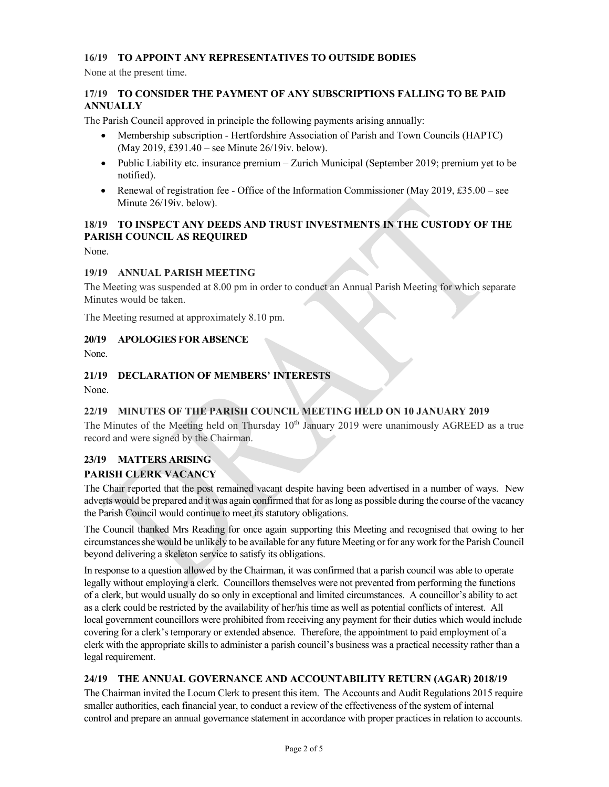# 16/19 TO APPOINT ANY REPRESENTATIVES TO OUTSIDE BODIES

None at the present time.

#### 17/19 TO CONSIDER THE PAYMENT OF ANY SUBSCRIPTIONS FALLING TO BE PAID **ANNUALLY**

The Parish Council approved in principle the following payments arising annually:

- Membership subscription Hertfordshire Association of Parish and Town Councils (HAPTC) (May 2019, £391.40 – see Minute 26/19iv. below).
- Public Liability etc. insurance premium Zurich Municipal (September 2019; premium yet to be notified).
- Renewal of registration fee Office of the Information Commissioner (May  $2019, £35.00$  see Minute 26/19iv. below).

# 18/19 TO INSPECT ANY DEEDS AND TRUST INVESTMENTS IN THE CUSTODY OF THE PARISH COUNCIL AS REQUIRED

None.

#### 19/19 ANNUAL PARISH MEETING

The Meeting was suspended at 8.00 pm in order to conduct an Annual Parish Meeting for which separate Minutes would be taken.

The Meeting resumed at approximately 8.10 pm.

#### 20/19 APOLOGIES FOR ABSENCE

None.

#### 21/19 DECLARATION OF MEMBERS' INTERESTS

None.

#### 22/19 MINUTES OF THE PARISH COUNCIL MEETING HELD ON 10 JANUARY 2019

The Minutes of the Meeting held on Thursday  $10<sup>th</sup>$  January 2019 were unanimously AGREED as a true record and were signed by the Chairman.

# 23/19 MATTERS ARISING

#### PARISH CLERK VACANCY

The Chair reported that the post remained vacant despite having been advertised in a number of ways. New adverts would be prepared and it was again confirmed that for as long as possible during the course of the vacancy the Parish Council would continue to meet its statutory obligations.

The Council thanked Mrs Reading for once again supporting this Meeting and recognised that owing to her circumstances she would be unlikely to be available for any future Meeting or for any work for the Parish Council beyond delivering a skeleton service to satisfy its obligations.

In response to a question allowed by the Chairman, it was confirmed that a parish council was able to operate legally without employing a clerk. Councillors themselves were not prevented from performing the functions of a clerk, but would usually do so only in exceptional and limited circumstances. A councillor's ability to act as a clerk could be restricted by the availability of her/his time as well as potential conflicts of interest. All local government councillors were prohibited from receiving any payment for their duties which would include covering for a clerk's temporary or extended absence. Therefore, the appointment to paid employment of a clerk with the appropriate skills to administer a parish council's business was a practical necessity rather than a legal requirement.

#### 24/19 THE ANNUAL GOVERNANCE AND ACCOUNTABILITY RETURN (AGAR) 2018/19

The Chairman invited the Locum Clerk to present this item. The Accounts and Audit Regulations 2015 require smaller authorities, each financial year, to conduct a review of the effectiveness of the system of internal control and prepare an annual governance statement in accordance with proper practices in relation to accounts.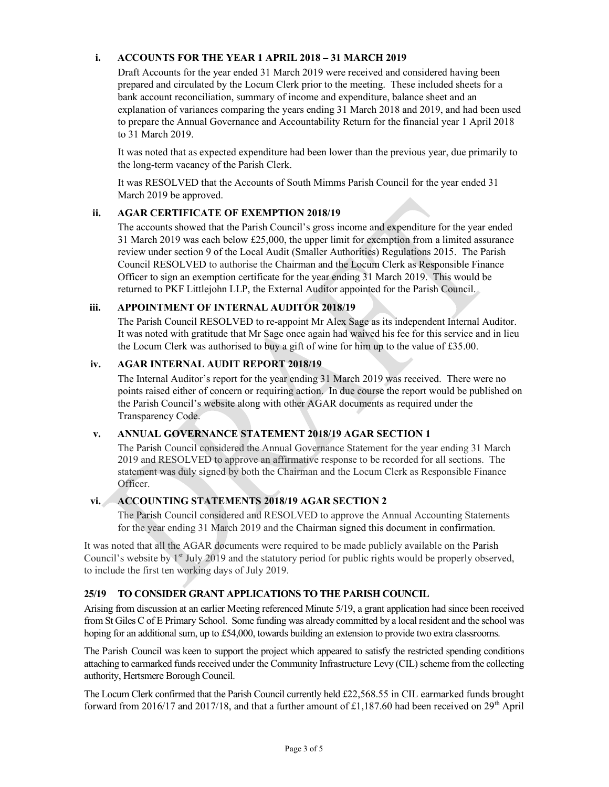# i. ACCOUNTS FOR THE YEAR 1 APRIL 2018 – 31 MARCH 2019

Draft Accounts for the year ended 31 March 2019 were received and considered having been prepared and circulated by the Locum Clerk prior to the meeting. These included sheets for a bank account reconciliation, summary of income and expenditure, balance sheet and an explanation of variances comparing the years ending 31 March 2018 and 2019, and had been used to prepare the Annual Governance and Accountability Return for the financial year 1 April 2018 to 31 March 2019.

It was noted that as expected expenditure had been lower than the previous year, due primarily to the long-term vacancy of the Parish Clerk.

It was RESOLVED that the Accounts of South Mimms Parish Council for the year ended 31 March 2019 be approved.

#### ii. AGAR CERTIFICATE OF EXEMPTION 2018/19

The accounts showed that the Parish Council's gross income and expenditure for the year ended 31 March 2019 was each below £25,000, the upper limit for exemption from a limited assurance review under section 9 of the Local Audit (Smaller Authorities) Regulations 2015. The Parish Council RESOLVED to authorise the Chairman and the Locum Clerk as Responsible Finance Officer to sign an exemption certificate for the year ending 31 March 2019. This would be returned to PKF Littlejohn LLP, the External Auditor appointed for the Parish Council.

#### iii. APPOINTMENT OF INTERNAL AUDITOR 2018/19

The Parish Council RESOLVED to re-appoint Mr Alex Sage as its independent Internal Auditor. It was noted with gratitude that Mr Sage once again had waived his fee for this service and in lieu the Locum Clerk was authorised to buy a gift of wine for him up to the value of £35.00.

#### iv. AGAR INTERNAL AUDIT REPORT 2018/19

The Internal Auditor's report for the year ending 31 March 2019 was received. There were no points raised either of concern or requiring action. In due course the report would be published on the Parish Council's website along with other AGAR documents as required under the Transparency Code.

# v. ANNUAL GOVERNANCE STATEMENT 2018/19 AGAR SECTION 1

The Parish Council considered the Annual Governance Statement for the year ending 31 March 2019 and RESOLVED to approve an affirmative response to be recorded for all sections. The statement was duly signed by both the Chairman and the Locum Clerk as Responsible Finance Officer.

### vi. ACCOUNTING STATEMENTS 2018/19 AGAR SECTION 2

The Parish Council considered and RESOLVED to approve the Annual Accounting Statements for the year ending 31 March 2019 and the Chairman signed this document in confirmation.

It was noted that all the AGAR documents were required to be made publicly available on the Parish Council's website by 1<sup>st</sup> July 2019 and the statutory period for public rights would be properly observed, to include the first ten working days of July 2019.

#### 25/19 TO CONSIDER GRANT APPLICATIONS TO THE PARISH COUNCIL

Arising from discussion at an earlier Meeting referenced Minute 5/19, a grant application had since been received from St Giles C of E Primary School. Some funding was already committed by a local resident and the school was hoping for an additional sum, up to £54,000, towards building an extension to provide two extra classrooms.

The Parish Council was keen to support the project which appeared to satisfy the restricted spending conditions attaching to earmarked funds received under the Community Infrastructure Levy (CIL) scheme from the collecting authority, Hertsmere Borough Council.

The Locum Clerk confirmed that the Parish Council currently held £22,568.55 in CIL earmarked funds brought forward from 2016/17 and 2017/18, and that a further amount of £1,187.60 had been received on 29<sup>th</sup> April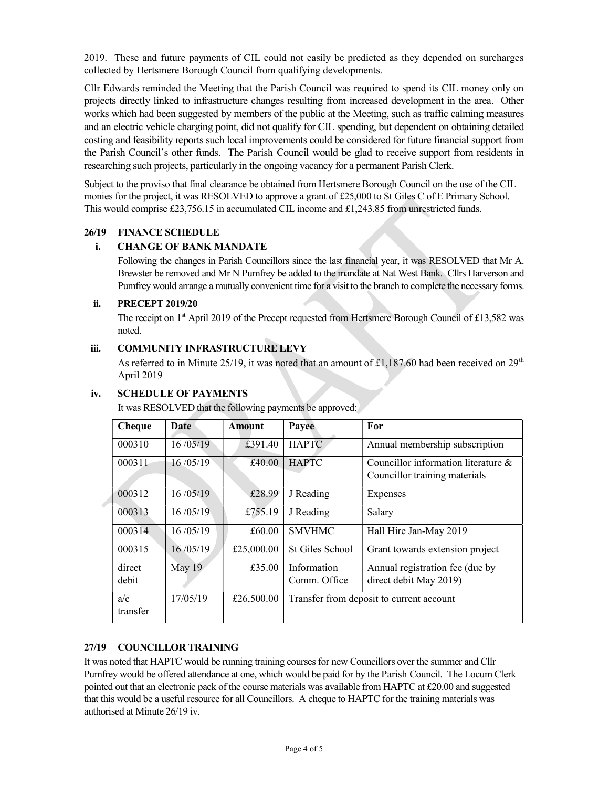2019. These and future payments of CIL could not easily be predicted as they depended on surcharges collected by Hertsmere Borough Council from qualifying developments.

Cllr Edwards reminded the Meeting that the Parish Council was required to spend its CIL money only on projects directly linked to infrastructure changes resulting from increased development in the area. Other works which had been suggested by members of the public at the Meeting, such as traffic calming measures and an electric vehicle charging point, did not qualify for CIL spending, but dependent on obtaining detailed costing and feasibility reports such local improvements could be considered for future financial support from the Parish Council's other funds. The Parish Council would be glad to receive support from residents in researching such projects, particularly in the ongoing vacancy for a permanent Parish Clerk.

Subject to the proviso that final clearance be obtained from Hertsmere Borough Council on the use of the CIL monies for the project, it was RESOLVED to approve a grant of £25,000 to St Giles C of E Primary School. This would comprise £23,756.15 in accumulated CIL income and £1,243.85 from unrestricted funds.

#### 26/19 FINANCE SCHEDULE

#### i. CHANGE OF BANK MANDATE

Following the changes in Parish Councillors since the last financial year, it was RESOLVED that Mr A. Brewster be removed and Mr N Pumfrey be added to the mandate at Nat West Bank. Cllrs Harverson and Pumfrey would arrange a mutually convenient time for a visit to the branch to complete the necessary forms.

#### ii. PRECEPT 2019/20

The receipt on  $1<sup>st</sup>$  April 2019 of the Precept requested from Hertsmere Borough Council of £13,582 was noted.

#### iii. COMMUNITY INFRASTRUCTURE LEVY

As referred to in Minute 25/19, it was noted that an amount of £1,187.60 had been received on  $29<sup>th</sup>$ April 2019

| IV. | <b>SCHEDULE OF PAYMENTS</b> |
|-----|-----------------------------|
|     |                             |

|  | Cheque          | Date     | Amount     | Payee                       | For                                                                     |
|--|-----------------|----------|------------|-----------------------------|-------------------------------------------------------------------------|
|  | 000310          | 16/05/19 | £391.40    | <b>HAPTC</b>                | Annual membership subscription                                          |
|  | 000311          | 16/05/19 | £40.00     | <b>HAPTC</b>                | Councillor information literature $\&$<br>Councillor training materials |
|  | 000312          | 16/05/19 | £28.99     | J Reading                   | Expenses                                                                |
|  | 000313          | 16/05/19 | £755.19    | J Reading                   | Salary                                                                  |
|  | 000314          | 16/05/19 | £60.00     | <b>SMVHMC</b>               | Hall Hire Jan-May 2019                                                  |
|  | 000315          | 16/05/19 | £25,000.00 | St Giles School             | Grant towards extension project                                         |
|  | direct<br>debit | May 19   | £35.00     | Information<br>Comm. Office | Annual registration fee (due by<br>direct debit May 2019)               |
|  | a/c<br>transfer | 17/05/19 | £26,500.00 |                             | Transfer from deposit to current account                                |

It was RESOLVED that the following payments be approved:

# 27/19 COUNCILLOR TRAINING

It was noted that HAPTC would be running training courses for new Councillors over the summer and Cllr Pumfrey would be offered attendance at one, which would be paid for by the Parish Council. The Locum Clerk pointed out that an electronic pack of the course materials was available from HAPTC at £20.00 and suggested that this would be a useful resource for all Councillors. A cheque to HAPTC for the training materials was authorised at Minute 26/19 iv.